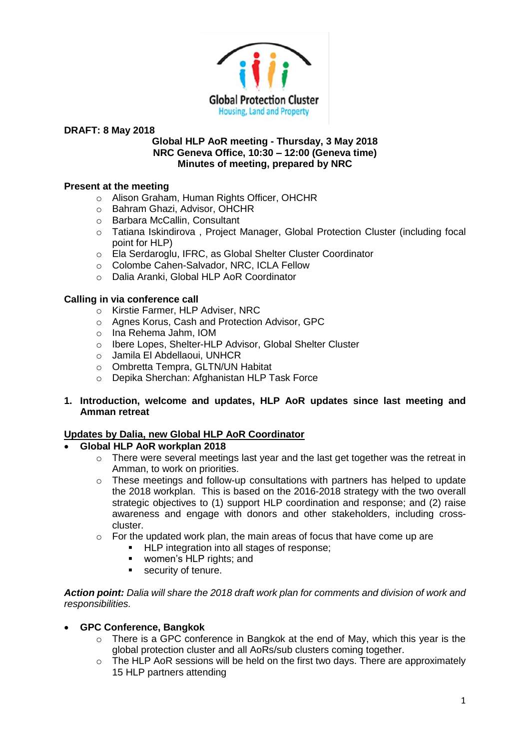

#### **Global HLP AoR meeting - Thursday, 3 May 2018 NRC Geneva Office, 10:30 – 12:00 (Geneva time) Minutes of meeting, prepared by NRC**

## **Present at the meeting**

- o Alison Graham, Human Rights Officer, OHCHR
- o Bahram Ghazi, Advisor, OHCHR
- o Barbara McCallin, Consultant
- o Tatiana Iskindirova , Project Manager, Global Protection Cluster (including focal point for HLP)
- o Ela Serdaroglu, IFRC, as Global Shelter Cluster Coordinator
- o Colombe Cahen-Salvador, NRC, ICLA Fellow
- o Dalia Aranki, Global HLP AoR Coordinator

# **Calling in via conference call**

- o Kirstie Farmer, HLP Adviser, NRC
- o Agnes Korus, Cash and Protection Advisor, GPC
- o Ina Rehema Jahm, IOM
- o Ibere Lopes, Shelter-HLP Advisor, Global Shelter Cluster
- o Jamila El Abdellaoui, UNHCR
- o Ombretta Tempra, GLTN/UN Habitat
- o Depika Sherchan: Afghanistan HLP Task Force

# **1. Introduction, welcome and updates, HLP AoR updates since last meeting and Amman retreat**

## **Updates by Dalia, new Global HLP AoR Coordinator**

- **Global HLP AoR workplan 2018**
	- $\circ$  There were several meetings last year and the last get together was the retreat in Amman, to work on priorities.
	- o These meetings and follow-up consultations with partners has helped to update the 2018 workplan. This is based on the 2016-2018 strategy with the two overall strategic objectives to (1) support HLP coordination and response; and (2) raise awareness and engage with donors and other stakeholders, including crosscluster.
	- $\circ$  For the updated work plan, the main areas of focus that have come up are
		- HLP integration into all stages of response;
		- women's HLP rights; and
		- **•** security of tenure.

*Action point: Dalia will share the 2018 draft work plan for comments and division of work and responsibilities.*

## • **GPC Conference, Bangkok**

- $\circ$  There is a GPC conference in Bangkok at the end of May, which this year is the global protection cluster and all AoRs/sub clusters coming together.
- $\circ$  The HLP AoR sessions will be held on the first two days. There are approximately 15 HLP partners attending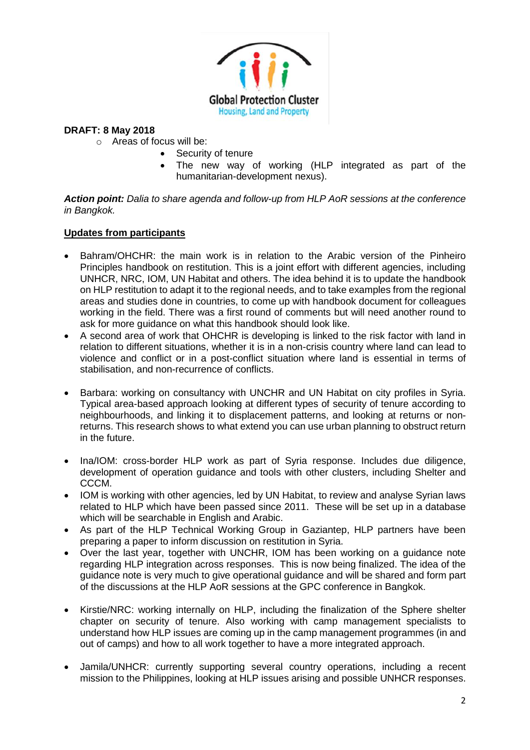

- o Areas of focus will be:
	- Security of tenure
		- The new way of working (HLP integrated as part of the humanitarian-development nexus).

*Action point: Dalia to share agenda and follow-up from HLP AoR sessions at the conference in Bangkok.*

# **Updates from participants**

- Bahram/OHCHR: the main work is in relation to the Arabic version of the Pinheiro Principles handbook on restitution. This is a joint effort with different agencies, including UNHCR, NRC, IOM, UN Habitat and others. The idea behind it is to update the handbook on HLP restitution to adapt it to the regional needs, and to take examples from the regional areas and studies done in countries, to come up with handbook document for colleagues working in the field. There was a first round of comments but will need another round to ask for more guidance on what this handbook should look like.
- A second area of work that OHCHR is developing is linked to the risk factor with land in relation to different situations, whether it is in a non-crisis country where land can lead to violence and conflict or in a post-conflict situation where land is essential in terms of stabilisation, and non-recurrence of conflicts.
- Barbara: working on consultancy with UNCHR and UN Habitat on city profiles in Syria. Typical area-based approach looking at different types of security of tenure according to neighbourhoods, and linking it to displacement patterns, and looking at returns or nonreturns. This research shows to what extend you can use urban planning to obstruct return in the future.
- Ina/IOM: cross-border HLP work as part of Syria response. Includes due diligence, development of operation guidance and tools with other clusters, including Shelter and CCCM.
- IOM is working with other agencies, led by UN Habitat, to review and analyse Syrian laws related to HLP which have been passed since 2011. These will be set up in a database which will be searchable in English and Arabic.
- As part of the HLP Technical Working Group in Gaziantep, HLP partners have been preparing a paper to inform discussion on restitution in Syria.
- Over the last year, together with UNCHR, IOM has been working on a guidance note regarding HLP integration across responses. This is now being finalized. The idea of the guidance note is very much to give operational guidance and will be shared and form part of the discussions at the HLP AoR sessions at the GPC conference in Bangkok.
- Kirstie/NRC: working internally on HLP, including the finalization of the Sphere shelter chapter on security of tenure. Also working with camp management specialists to understand how HLP issues are coming up in the camp management programmes (in and out of camps) and how to all work together to have a more integrated approach.
- Jamila/UNHCR: currently supporting several country operations, including a recent mission to the Philippines, looking at HLP issues arising and possible UNHCR responses.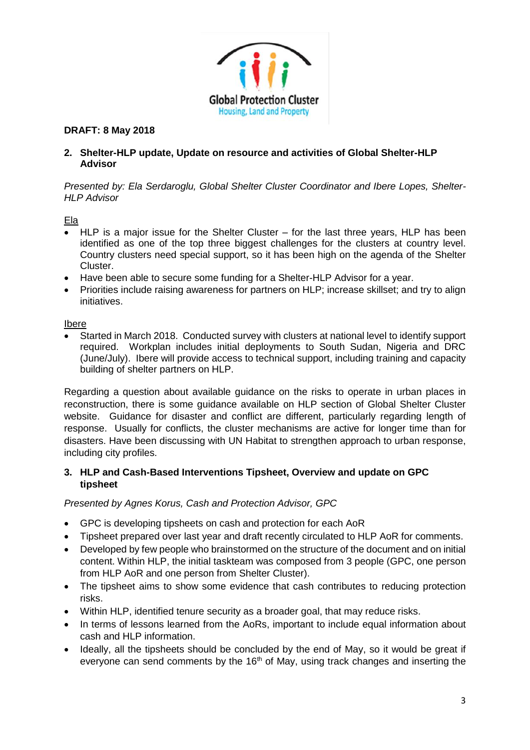

# **2. Shelter-HLP update, Update on resource and activities of Global Shelter-HLP Advisor**

*Presented by: Ela Serdaroglu, Global Shelter Cluster Coordinator and Ibere Lopes, Shelter-HLP Advisor*

Ela

- HLP is a major issue for the Shelter Cluster for the last three years, HLP has been identified as one of the top three biggest challenges for the clusters at country level. Country clusters need special support, so it has been high on the agenda of the Shelter Cluster.
- Have been able to secure some funding for a Shelter-HLP Advisor for a year.
- Priorities include raising awareness for partners on HLP; increase skillset; and try to align initiatives.

## Ibere

• Started in March 2018. Conducted survey with clusters at national level to identify support required. Workplan includes initial deployments to South Sudan, Nigeria and DRC (June/July). Ibere will provide access to technical support, including training and capacity building of shelter partners on HLP.

Regarding a question about available guidance on the risks to operate in urban places in reconstruction, there is some guidance available on HLP section of Global Shelter Cluster website. Guidance for disaster and conflict are different, particularly regarding length of response. Usually for conflicts, the cluster mechanisms are active for longer time than for disasters. Have been discussing with UN Habitat to strengthen approach to urban response, including city profiles.

# **3. HLP and Cash-Based Interventions Tipsheet, Overview and update on GPC tipsheet**

*Presented by Agnes Korus, Cash and Protection Advisor, GPC*

- GPC is developing tipsheets on cash and protection for each AoR
- Tipsheet prepared over last year and draft recently circulated to HLP AoR for comments.
- Developed by few people who brainstormed on the structure of the document and on initial content. Within HLP, the initial taskteam was composed from 3 people (GPC, one person from HLP AoR and one person from Shelter Cluster).
- The tipsheet aims to show some evidence that cash contributes to reducing protection risks.
- Within HLP, identified tenure security as a broader goal, that may reduce risks.
- In terms of lessons learned from the AoRs, important to include equal information about cash and HLP information.
- Ideally, all the tipsheets should be concluded by the end of May, so it would be great if everyone can send comments by the  $16<sup>th</sup>$  of May, using track changes and inserting the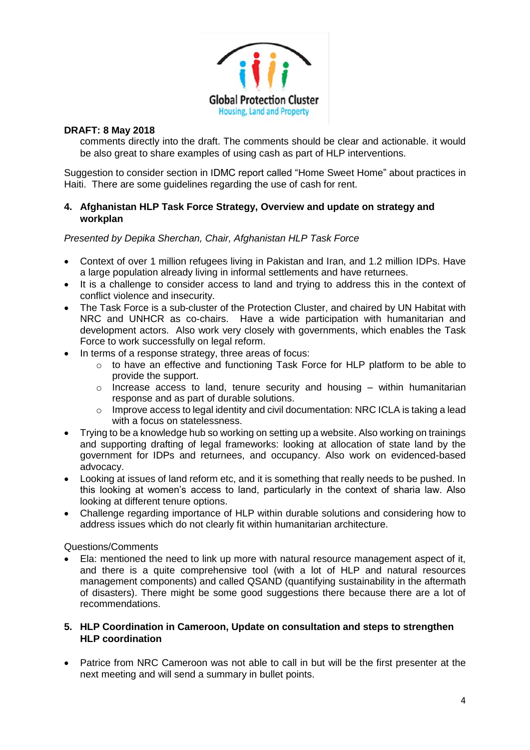

comments directly into the draft. The comments should be clear and actionable. it would be also great to share examples of using cash as part of HLP interventions.

Suggestion to consider section in IDMC report called "Home Sweet Home" about practices in Haiti. There are some guidelines regarding the use of cash for rent.

## **4. Afghanistan HLP Task Force Strategy, Overview and update on strategy and workplan**

*Presented by Depika Sherchan, Chair, Afghanistan HLP Task Force*

- Context of over 1 million refugees living in Pakistan and Iran, and 1.2 million IDPs. Have a large population already living in informal settlements and have returnees.
- It is a challenge to consider access to land and trying to address this in the context of conflict violence and insecurity.
- The Task Force is a sub-cluster of the Protection Cluster, and chaired by UN Habitat with NRC and UNHCR as co-chairs. Have a wide participation with humanitarian and development actors. Also work very closely with governments, which enables the Task Force to work successfully on legal reform.
- In terms of a response strategy, three areas of focus:
	- o to have an effective and functioning Task Force for HLP platform to be able to provide the support.
	- $\circ$  Increase access to land, tenure security and housing within humanitarian response and as part of durable solutions.
	- o Improve access to legal identity and civil documentation: NRC ICLA is taking a lead with a focus on statelessness.
- Trying to be a knowledge hub so working on setting up a website. Also working on trainings and supporting drafting of legal frameworks: looking at allocation of state land by the government for IDPs and returnees, and occupancy. Also work on evidenced-based advocacy.
- Looking at issues of land reform etc, and it is something that really needs to be pushed. In this looking at women's access to land, particularly in the context of sharia law. Also looking at different tenure options.
- Challenge regarding importance of HLP within durable solutions and considering how to address issues which do not clearly fit within humanitarian architecture.

Questions/Comments

• Ela: mentioned the need to link up more with natural resource management aspect of it, and there is a quite comprehensive tool (with a lot of HLP and natural resources management components) and called QSAND (quantifying sustainability in the aftermath of disasters). There might be some good suggestions there because there are a lot of recommendations.

# **5. HLP Coordination in Cameroon, Update on consultation and steps to strengthen HLP coordination**

• Patrice from NRC Cameroon was not able to call in but will be the first presenter at the next meeting and will send a summary in bullet points.